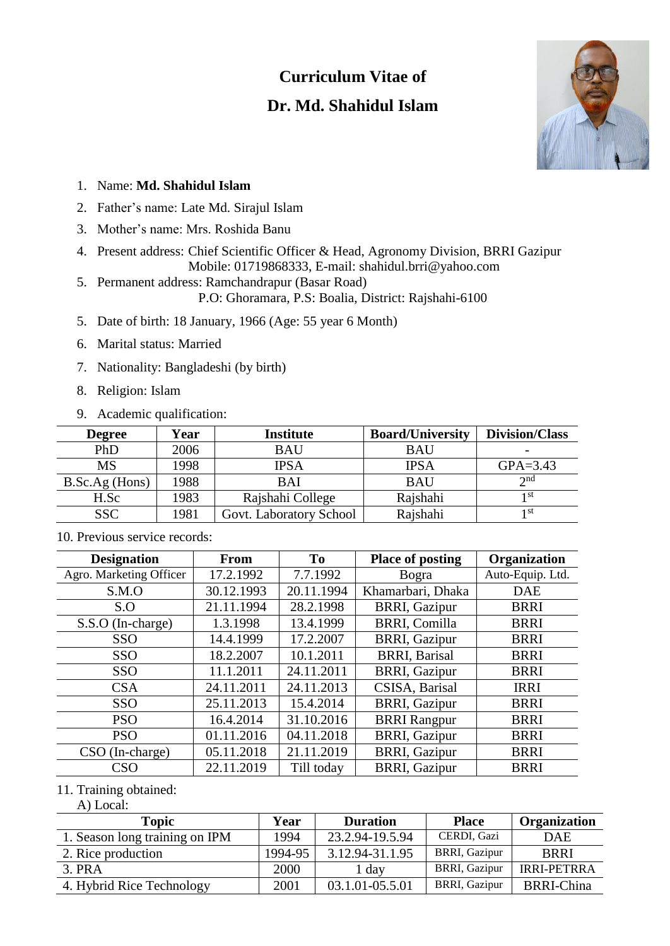# **Curriculum Vitae of**

# **Dr. Md. Shahidul Islam**



## 1. Name: **Md. Shahidul Islam**

- 2. Father's name: Late Md. Sirajul Islam
- 3. Mother's name: Mrs. Roshida Banu
- 4. Present address: Chief Scientific Officer & Head, Agronomy Division, BRRI Gazipur Mobile: 01719868333, E-mail: shahidul.brri@yahoo.com
- 5. Permanent address: Ramchandrapur (Basar Road)

P.O: Ghoramara, P.S: Boalia, District: Rajshahi-6100

- 5. Date of birth: 18 January, 1966 (Age: 55 year 6 Month)
- 6. Marital status: Married
- 7. Nationality: Bangladeshi (by birth)
- 8. Religion: Islam
- 9. Academic qualification:

| <b>Degree</b>  | Year | <b>Institute</b>        | <b>Board/University</b> | <b>Division/Class</b> |
|----------------|------|-------------------------|-------------------------|-----------------------|
| PhD            | 2006 | <b>BAU</b>              | BAU                     | -                     |
| <b>MS</b>      | 1998 | IPSA                    | IPSA                    | $GPA = 3.43$          |
| B.Sc.Ag (Hons) | 1988 | <b>BAI</b>              | <b>BAU</b>              | $\gamma$ nd           |
| H.Sc           | 1983 | Rajshahi College        | Rajshahi                | 1 st                  |
| <b>SSC</b>     | 1981 | Govt. Laboratory School | Rajshahi                | 1 st                  |

| <b>Designation</b>      | From       | T <sub>0</sub> | <b>Place of posting</b> | Organization     |
|-------------------------|------------|----------------|-------------------------|------------------|
| Agro. Marketing Officer | 17.2.1992  | 7.7.1992       | <b>Bogra</b>            | Auto-Equip. Ltd. |
| S.M.O                   | 30.12.1993 | 20.11.1994     | Khamarbari, Dhaka       | <b>DAE</b>       |
| S.O                     | 21.11.1994 | 28.2.1998      | <b>BRRI, Gazipur</b>    | <b>BRRI</b>      |
| S.S.O (In-charge)       | 1.3.1998   | 13.4.1999      | <b>BRRI, Comilla</b>    | <b>BRRI</b>      |
| <b>SSO</b>              | 14.4.1999  | 17.2.2007      | <b>BRRI, Gazipur</b>    | <b>BRRI</b>      |
| <b>SSO</b>              | 18.2.2007  | 10.1.2011      | <b>BRRI, Barisal</b>    | <b>BRRI</b>      |
| <b>SSO</b>              | 11.1.2011  | 24.11.2011     | <b>BRRI, Gazipur</b>    | <b>BRRI</b>      |
| <b>CSA</b>              | 24.11.2011 | 24.11.2013     | CSISA, Barisal          | <b>IRRI</b>      |
| <b>SSO</b>              | 25.11.2013 | 15.4.2014      | <b>BRRI, Gazipur</b>    | <b>BRRI</b>      |
| <b>PSO</b>              | 16.4.2014  | 31.10.2016     | <b>BRRI</b> Rangpur     | <b>BRRI</b>      |
| <b>PSO</b>              | 01.11.2016 | 04.11.2018     | <b>BRRI, Gazipur</b>    | <b>BRRI</b>      |
| $CSO$ (In-charge)       | 05.11.2018 | 21.11.2019     | <b>BRRI, Gazipur</b>    | <b>BRRI</b>      |
| <b>CSO</b>              | 22.11.2019 | Till today     | <b>BRRI, Gazipur</b>    | <b>BRRI</b>      |

10. Previous service records:

#### 11. Training obtained:

A) Local:

| <b>Topic</b>                   | Year    | <b>Duration</b> | <b>Place</b>         | Organization       |
|--------------------------------|---------|-----------------|----------------------|--------------------|
| 1. Season long training on IPM | 1994    | 23.2.94-19.5.94 | CERDI, Gazi          | <b>DAE</b>         |
| 2. Rice production             | 1994-95 | 3.12.94-31.1.95 | <b>BRRI, Gazipur</b> | <b>BRRI</b>        |
| 3. PRA                         | 2000    | 1 day           | <b>BRRI, Gazipur</b> | <b>IRRI-PETRRA</b> |
| 4. Hybrid Rice Technology      | 2001    | 03.1.01-05.5.01 | <b>BRRI, Gazipur</b> | <b>BRRI-China</b>  |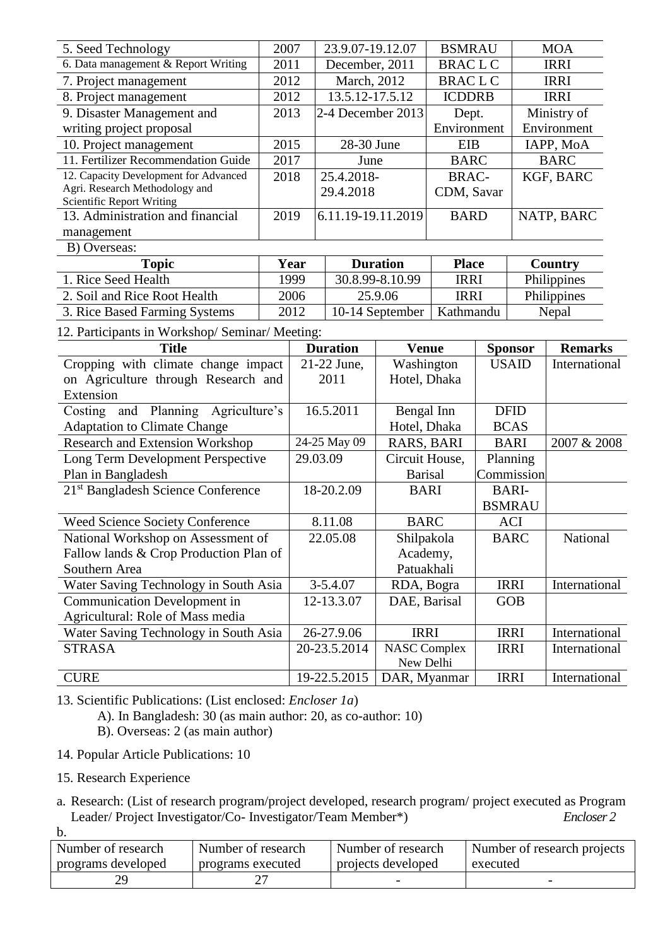| 5. Seed Technology                                                   | 2007 |              | 23.9.07-19.12.07   |                                    | <b>BSMRAU</b>               |               |                        | <b>MOA</b>     |
|----------------------------------------------------------------------|------|--------------|--------------------|------------------------------------|-----------------------------|---------------|------------------------|----------------|
| 6. Data management & Report Writing                                  | 2011 |              | December, 2011     |                                    | <b>BRACLC</b>               |               |                        | <b>IRRI</b>    |
| 7. Project management                                                | 2012 |              | March, 2012        |                                    | <b>BRACLC</b>               |               |                        | <b>IRRI</b>    |
| 2012<br>8. Project management                                        |      |              | 13.5.12-17.5.12    |                                    | <b>ICDDRB</b>               |               |                        | <b>IRRI</b>    |
| 2013<br>9. Disaster Management and                                   |      |              | 2-4 December 2013  |                                    | Dept.                       |               |                        | Ministry of    |
| writing project proposal                                             |      |              |                    |                                    | Environment                 |               |                        | Environment    |
| 2015<br>10. Project management                                       |      |              | 28-30 June         |                                    | <b>EIB</b>                  |               |                        | IAPP, MoA      |
| 11. Fertilizer Recommendation Guide                                  | 2017 |              | June               |                                    | <b>BARC</b>                 |               |                        | <b>BARC</b>    |
| 12. Capacity Development for Advanced                                | 2018 |              | 25.4.2018-         |                                    | <b>BRAC-</b>                |               |                        | KGF, BARC      |
| Agri. Research Methodology and                                       |      |              | 29.4.2018          |                                    | CDM, Savar                  |               |                        |                |
| <b>Scientific Report Writing</b>                                     |      |              |                    |                                    |                             |               |                        |                |
| 13. Administration and financial                                     | 2019 |              | 6.11.19-19.11.2019 |                                    | <b>BARD</b>                 |               |                        | NATP, BARC     |
| management                                                           |      |              |                    |                                    |                             |               |                        |                |
| B) Overseas:                                                         |      |              |                    |                                    |                             |               |                        |                |
| <b>Topic</b><br>1. Rice Seed Health                                  |      | Year<br>1999 |                    | <b>Duration</b><br>30.8.99-8.10.99 | <b>Place</b><br><b>IRRI</b> |               |                        | Country        |
|                                                                      |      |              |                    |                                    |                             |               |                        | Philippines    |
| 2. Soil and Rice Root Health                                         |      | 2006         |                    | 25.9.06                            | <b>IRRI</b>                 |               |                        | Philippines    |
| 3. Rice Based Farming Systems                                        |      | 2012         |                    | 10-14 September                    | Kathmandu                   |               |                        | Nepal          |
| 12. Participants in Workshop/Seminar/Meeting:                        |      |              |                    |                                    |                             |               |                        |                |
| <b>Title</b>                                                         |      |              | <b>Duration</b>    | <b>Venue</b>                       |                             |               | <b>Sponsor</b>         | <b>Remarks</b> |
| Cropping with climate change impact                                  |      |              | 21-22 June,        | Washington                         |                             |               | <b>USAID</b>           | International  |
| on Agriculture through Research and                                  |      |              | 2011               | Hotel, Dhaka                       |                             |               |                        |                |
| Extension                                                            |      |              |                    |                                    |                             |               |                        |                |
| Costing and Planning Agriculture's                                   |      |              | 16.5.2011          | Bengal Inn                         |                             |               | <b>DFID</b>            |                |
| <b>Adaptation to Climate Change</b>                                  |      |              |                    | Hotel, Dhaka                       |                             |               | <b>BCAS</b>            |                |
| <b>Research and Extension Workshop</b>                               |      |              | 24-25 May 09       | RARS, BARI                         |                             | <b>BARI</b>   |                        | 2007 & 2008    |
| Long Term Development Perspective                                    |      | 29.03.09     |                    | Circuit House,                     |                             |               | Planning<br>Commission |                |
| Plan in Bangladesh<br>21 <sup>st</sup> Bangladesh Science Conference |      |              | 18-20.2.09         | <b>Barisal</b><br><b>BARI</b>      |                             | <b>BARI-</b>  |                        |                |
|                                                                      |      |              |                    |                                    |                             | <b>BSMRAU</b> |                        |                |
| <b>Weed Science Society Conference</b>                               |      |              | 8.11.08            | <b>BARC</b>                        |                             |               | <b>ACI</b>             |                |
| National Workshop on Assessment of                                   |      |              | 22.05.08           | Shilpakola                         |                             |               | <b>BARC</b>            | National       |
| Fallow lands & Crop Production Plan of                               |      |              |                    | Academy,                           |                             |               |                        |                |
| Southern Area                                                        |      |              |                    | Patuakhali                         |                             |               |                        |                |
| Water Saving Technology in South Asia                                |      |              | 3-5.4.07           | RDA, Bogra                         |                             | <b>IRRI</b>   |                        | International  |
| Communication Development in                                         |      |              | 12-13.3.07         | DAE, Barisal                       |                             |               | GOB                    |                |
| Agricultural: Role of Mass media                                     |      |              |                    |                                    |                             |               |                        |                |
| Water Saving Technology in South Asia                                |      |              | 26-27.9.06         | <b>IRRI</b>                        |                             |               | <b>IRRI</b>            | International  |
| <b>STRASA</b>                                                        |      |              | 20-23.5.2014       | <b>NASC Complex</b>                |                             |               | <b>IRRI</b>            | International  |
|                                                                      |      |              |                    | New Delhi                          |                             |               |                        |                |
| <b>CURE</b>                                                          |      |              | 19-22.5.2015       | DAR, Myanmar                       |                             |               | <b>IRRI</b>            | International  |

13. Scientific Publications: (List enclosed: *Encloser 1a*)

A). In Bangladesh: 30 (as main author: 20, as co-author: 10)

B). Overseas: 2 (as main author)

- 14. Popular Article Publications: 10
- 15. Research Experience

a. Research: (List of research program/project developed, research program/ project executed as Program Leader/ Project Investigator/Co- Investigator/Team Member\*) *Encloser 2*

b.

| Number of research | Number of research | Number of research | Number of research projects |
|--------------------|--------------------|--------------------|-----------------------------|
| programs developed | programs executed  | projects developed | executed                    |
| 20                 |                    |                    |                             |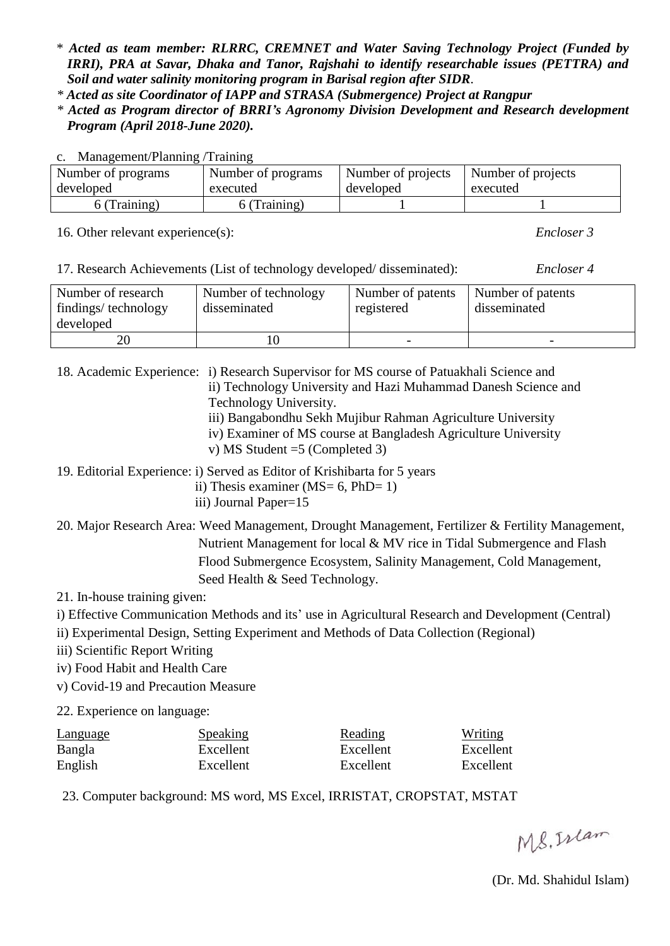\* *Acted as team member: RLRRC, CREMNET and Water Saving Technology Project (Funded by IRRI), PRA at Savar, Dhaka and Tanor, Rajshahi to identify researchable issues (PETTRA) and Soil and water salinity monitoring program in Barisal region after SIDR.*

*\* Acted as site Coordinator of IAPP and STRASA (Submergence) Project at Rangpur*

*\* Acted as Program director of BRRI's Agronomy Division Development and Research development Program (April 2018-June 2020).*

| c. Management/Planning/Training |                    |                    |                    |
|---------------------------------|--------------------|--------------------|--------------------|
| Number of programs              | Number of programs | Number of projects | Number of projects |
| developed                       | executed           | developed          | executed           |
| 6 (Training)                    | 6 (Training)       |                    |                    |

16. Other relevant experience(s): *Encloser 3*

| 17. Research Achievements (List of technology developed/disseminated): | Encloser 4 |
|------------------------------------------------------------------------|------------|
|------------------------------------------------------------------------|------------|

| Number of research<br>findings/technology<br>developed | Number of technology<br>disseminated | Number of patents<br>registered | Number of patents<br>disseminated |
|--------------------------------------------------------|--------------------------------------|---------------------------------|-----------------------------------|
|                                                        | 10                                   |                                 |                                   |

18. Academic Experience: i) Research Supervisor for MS course of Patuakhali Science and ii) Technology University and Hazi Muhammad Danesh Science and Technology University. iii) Bangabondhu Sekh Mujibur Rahman Agriculture University iv) Examiner of MS course at Bangladesh Agriculture University

v) MS Student =5 (Completed 3)

19. Editorial Experience: i) Served as Editor of Krishibarta for 5 years

- ii) Thesis examiner ( $MS = 6$ ,  $PhD = 1$ )
- iii) Journal Paper=15
- 20. Major Research Area: Weed Management, Drought Management, Fertilizer & Fertility Management, Nutrient Management for local & MV rice in Tidal Submergence and Flash Flood Submergence Ecosystem, Salinity Management, Cold Management, Seed Health & Seed Technology.

21. In-house training given:

i) Effective Communication Methods and its' use in Agricultural Research and Development (Central)

ii) Experimental Design, Setting Experiment and Methods of Data Collection (Regional)

- iii) Scientific Report Writing
- iv) Food Habit and Health Care
- v) Covid-19 and Precaution Measure

22. Experience on language:

| <b>Language</b> | Speaking  | Reading   | Writing   |
|-----------------|-----------|-----------|-----------|
| Bangla          | Excellent | Excellent | Excellent |
| English         | Excellent | Excellent | Excellent |

23. Computer background: MS word, MS Excel, IRRISTAT, CROPSTAT, MSTAT

MS. Islam

(Dr. Md. Shahidul Islam)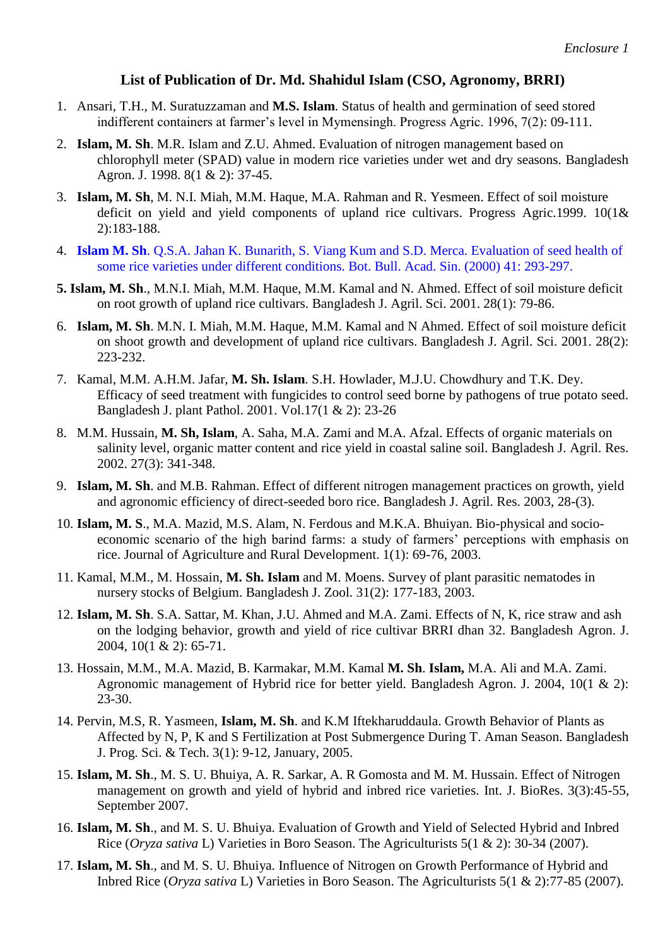## **List of Publication of Dr. Md. Shahidul Islam (CSO, Agronomy, BRRI)**

- 1. Ansari, T.H., M. Suratuzzaman and **M.S. Islam**. Status of health and germination of seed stored indifferent containers at farmer's level in Mymensingh. Progress Agric. 1996, 7(2): 09-111.
- 2. **Islam, M. Sh**. M.R. Islam and Z.U. Ahmed. Evaluation of nitrogen management based on chlorophyll meter (SPAD) value in modern rice varieties under wet and dry seasons. Bangladesh Agron. J. 1998. 8(1 & 2): 37-45.
- 3. **Islam, M. Sh**, M. N.I. Miah, M.M. Haque, M.A. Rahman and R. Yesmeen. Effect of soil moisture deficit on yield and yield components of upland rice cultivars. Progress Agric.1999. 10(1& 2):183-188.
- 4. **Islam M. Sh**. Q.S.A. Jahan K. Bunarith, S. Viang Kum and S.D. Merca. Evaluation of seed health of some rice varieties under different conditions. Bot. Bull. Acad. Sin. (2000) 41: 293-297.
- **5. Islam, M. Sh**., M.N.I. Miah, M.M. Haque, M.M. Kamal and N. Ahmed. Effect of soil moisture deficit on root growth of upland rice cultivars. Bangladesh J. Agril. Sci. 2001. 28(1): 79-86.
- 6. **Islam, M. Sh**. M.N. I. Miah, M.M. Haque, M.M. Kamal and N Ahmed. Effect of soil moisture deficit on shoot growth and development of upland rice cultivars. Bangladesh J. Agril. Sci. 2001. 28(2): 223-232.
- 7. Kamal, M.M. A.H.M. Jafar, **M. Sh. Islam**. S.H. Howlader, M.J.U. Chowdhury and T.K. Dey. Efficacy of seed treatment with fungicides to control seed borne by pathogens of true potato seed. Bangladesh J. plant Pathol. 2001. Vol.17(1 & 2): 23-26
- 8. M.M. Hussain, **M. Sh, Islam**, A. Saha, M.A. Zami and M.A. Afzal. Effects of organic materials on salinity level, organic matter content and rice yield in coastal saline soil. Bangladesh J. Agril. Res. 2002. 27(3): 341-348.
- 9. **Islam, M. Sh**. and M.B. Rahman. Effect of different nitrogen management practices on growth, yield and agronomic efficiency of direct-seeded boro rice. Bangladesh J. Agril. Res. 2003, 28-(3).
- 10. **Islam, M. S**., M.A. Mazid, M.S. Alam, N. Ferdous and M.K.A. Bhuiyan. Bio-physical and socioeconomic scenario of the high barind farms: a study of farmers' perceptions with emphasis on rice. Journal of Agriculture and Rural Development. 1(1): 69-76, 2003.
- 11. Kamal, M.M., M. Hossain, **M. Sh. Islam** and M. Moens. Survey of plant parasitic nematodes in nursery stocks of Belgium. Bangladesh J. Zool. 31(2): 177-183, 2003.
- 12. **Islam, M. Sh**. S.A. Sattar, M. Khan, J.U. Ahmed and M.A. Zami. Effects of N, K, rice straw and ash on the lodging behavior, growth and yield of rice cultivar BRRI dhan 32. Bangladesh Agron. J. 2004, 10(1 & 2): 65-71.
- 13. Hossain, M.M., M.A. Mazid, B. Karmakar, M.M. Kamal **M. Sh**. **Islam,** M.A. Ali and M.A. Zami. Agronomic management of Hybrid rice for better yield. Bangladesh Agron. J. 2004, 10(1 & 2): 23-30.
- 14. Pervin, M.S, R. Yasmeen, **Islam, M. Sh**. and K.M Iftekharuddaula. Growth Behavior of Plants as Affected by N, P, K and S Fertilization at Post Submergence During T. Aman Season. Bangladesh J. Prog. Sci. & Tech. 3(1): 9-12, January, 2005.
- 15. **Islam, M. Sh**., M. S. U. Bhuiya, A. R. Sarkar, A. R Gomosta and M. M. Hussain. Effect of Nitrogen management on growth and yield of hybrid and inbred rice varieties. Int. J. BioRes. 3(3):45-55, September 2007.
- 16. **Islam, M. Sh**., and M. S. U. Bhuiya. Evaluation of Growth and Yield of Selected Hybrid and Inbred Rice (*Oryza sativa* L) Varieties in Boro Season. The Agriculturists 5(1 & 2): 30-34 (2007).
- 17. **Islam, M. Sh**., and M. S. U. Bhuiya. Influence of Nitrogen on Growth Performance of Hybrid and Inbred Rice (*Oryza sativa* L) Varieties in Boro Season. The Agriculturists 5(1 & 2):77-85 (2007).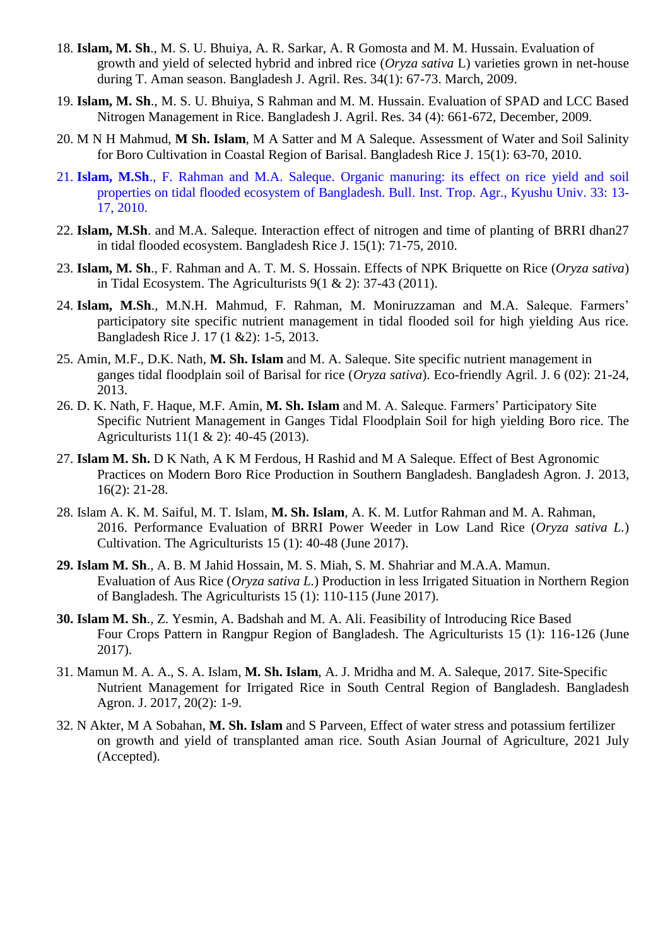- 18. **Islam, M. Sh**., M. S. U. Bhuiya, A. R. Sarkar, A. R Gomosta and M. M. Hussain. Evaluation of growth and yield of selected hybrid and inbred rice (*Oryza sativa* L) varieties grown in net-house during T. Aman season. Bangladesh J. Agril. Res. 34(1): 67-73. March, 2009.
- 19. **Islam, M. Sh**., M. S. U. Bhuiya, S Rahman and M. M. Hussain. Evaluation of SPAD and LCC Based Nitrogen Management in Rice. Bangladesh J. Agril. Res. 34 (4): 661-672, December, 2009.
- 20. M N H Mahmud, **M Sh. Islam**, M A Satter and M A Saleque. Assessment of Water and Soil Salinity for Boro Cultivation in Coastal Region of Barisal. Bangladesh Rice J. 15(1): 63-70, 2010.
- 21. **Islam, M.Sh**., F. Rahman and M.A. Saleque. Organic manuring: its effect on rice yield and soil properties on tidal flooded ecosystem of Bangladesh. Bull. Inst. Trop. Agr., Kyushu Univ. 33: 13- 17, 2010.
- 22. **Islam, M.Sh**. and M.A. Saleque. Interaction effect of nitrogen and time of planting of BRRI dhan27 in tidal flooded ecosystem. Bangladesh Rice J. 15(1): 71-75, 2010.
- 23. **Islam, M. Sh**., F. Rahman and A. T. M. S. Hossain. Effects of NPK Briquette on Rice (*Oryza sativa*) in Tidal Ecosystem. The Agriculturists 9(1 & 2): 37-43 (2011).
- 24. **Islam, M.Sh**., M.N.H. Mahmud, F. Rahman, M. Moniruzzaman and M.A. Saleque. Farmers' participatory site specific nutrient management in tidal flooded soil for high yielding Aus rice. Bangladesh Rice J. 17 (1 &2): 1-5, 2013.
- 25. Amin, M.F., D.K. Nath, **M. Sh. Islam** and M. A. Saleque. Site specific nutrient management in ganges tidal floodplain soil of Barisal for rice (*Oryza sativa*). Eco-friendly Agril. J. 6 (02): 21-24, 2013.
- 26. D. K. Nath, F. Haque, M.F. Amin, **M. Sh. Islam** and M. A. Saleque. Farmers' Participatory Site Specific Nutrient Management in Ganges Tidal Floodplain Soil for high yielding Boro rice. The Agriculturists 11(1 & 2): 40-45 (2013).
- 27. **Islam M. Sh.** D K Nath, A K M Ferdous, H Rashid and M A Saleque. Effect of Best Agronomic Practices on Modern Boro Rice Production in Southern Bangladesh. Bangladesh Agron. J. 2013, 16(2): 21-28.
- 28. Islam A. K. M. Saiful, M. T. Islam, **M. Sh. Islam**, A. K. M. Lutfor Rahman and M. A. Rahman, 2016. Performance Evaluation of BRRI Power Weeder in Low Land Rice (*Oryza sativa L.*) Cultivation. The Agriculturists 15 (1): 40-48 (June 2017).
- **29. Islam M. Sh**., A. B. M Jahid Hossain, M. S. Miah, S. M. Shahriar and M.A.A. Mamun. Evaluation of Aus Rice (*Oryza sativa L.*) Production in less Irrigated Situation in Northern Region of Bangladesh. The Agriculturists 15 (1): 110-115 (June 2017).
- **30. Islam M. Sh**., Z. Yesmin, A. Badshah and M. A. Ali. Feasibility of Introducing Rice Based Four Crops Pattern in Rangpur Region of Bangladesh. The Agriculturists 15 (1): 116-126 (June 2017).
- 31. Mamun M. A. A., S. A. Islam, **M. Sh. Islam**, A. J. Mridha and M. A. Saleque, 2017. Site-Specific Nutrient Management for Irrigated Rice in South Central Region of Bangladesh. Bangladesh Agron. J. 2017, 20(2): 1-9.
- 32. N Akter, M A Sobahan, **M. Sh. Islam** and S Parveen, Effect of water stress and potassium fertilizer on growth and yield of transplanted aman rice. South Asian Journal of Agriculture, 2021 July (Accepted).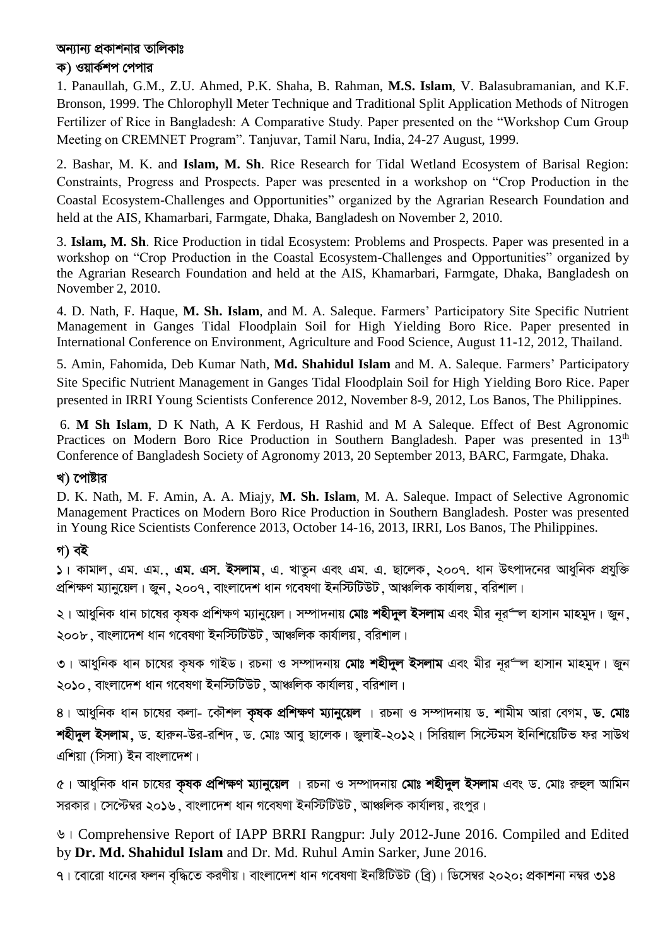## অন্যান্য প্রকাশনার তালিকাঃ

#### ক) ওয়ার্কশপ পেপার

1. Panaullah, G.M., Z.U. Ahmed, P.K. Shaha, B. Rahman, **M.S. Islam**, V. Balasubramanian, and K.F. Bronson, 1999. The Chlorophyll Meter Technique and Traditional Split Application Methods of Nitrogen Fertilizer of Rice in Bangladesh: A Comparative Study. Paper presented on the "Workshop Cum Group Meeting on CREMNET Program". Tanjuvar, Tamil Naru, India, 24-27 August, 1999.

2. Bashar, M. K. and **Islam, M. Sh**. Rice Research for Tidal Wetland Ecosystem of Barisal Region: Constraints, Progress and Prospects. Paper was presented in a workshop on "Crop Production in the Coastal Ecosystem-Challenges and Opportunities" organized by the Agrarian Research Foundation and held at the AIS, Khamarbari, Farmgate, Dhaka, Bangladesh on November 2, 2010.

3. **Islam, M. Sh**. Rice Production in tidal Ecosystem: Problems and Prospects. Paper was presented in a workshop on "Crop Production in the Coastal Ecosystem-Challenges and Opportunities" organized by the Agrarian Research Foundation and held at the AIS, Khamarbari, Farmgate, Dhaka, Bangladesh on November 2, 2010.

4. D. Nath, F. Haque, **M. Sh. Islam**, and M. A. Saleque. Farmers' Participatory Site Specific Nutrient Management in Ganges Tidal Floodplain Soil for High Yielding Boro Rice. Paper presented in International Conference on Environment, Agriculture and Food Science, August 11-12, 2012, Thailand.

5. Amin, Fahomida, Deb Kumar Nath, **Md. Shahidul Islam** and M. A. Saleque. Farmers' Participatory Site Specific Nutrient Management in Ganges Tidal Floodplain Soil for High Yielding Boro Rice. Paper presented in IRRI Young Scientists Conference 2012, November 8-9, 2012, Los Banos, The Philippines.

6. **M Sh Islam**, D K Nath, A K Ferdous, H Rashid and M A Saleque. Effect of Best Agronomic Practices on Modern Boro Rice Production in Southern Bangladesh. Paper was presented in 13<sup>th</sup> Conference of Bangladesh Society of Agronomy 2013, 20 September 2013, BARC, Farmgate, Dhaka.

#### খ) পোষ্টার

D. K. Nath, M. F. Amin, A. A. Miajy, **M. Sh. Islam**, M. A. Saleque. Impact of Selective Agronomic Management Practices on Modern Boro Rice Production in Southern Bangladesh. Poster was presented in Young Rice Scientists Conference 2013, October 14-16, 2013, IRRI, Los Banos, The Philippines.

## **M) eB**

 $\vert$ ১। কামাল, এম. এম. এম. **এস. ইসলাম**, এ. খাতুন এবং এম. এ. ছালেক, ২০০৭. ধান উৎপাদনের আধুনিক প্রযুক্তি প্রশিক্ষণ ম্যানুয়েল। জুন, ২০০৭, বাংলাদেশ ধান গবেষণা ইনস্টিটিউট, আঞ্চলিক কার্যালয়, বরিশাল।

২। আধুনিক ধান চাষের কৃষক প্রশিক্ষণ ম্যানুয়েল। সম্পাদনায় **মোঃ শহীদুল ইসলাম** এবং মীর নূর<del>° ল</del> হাসান মাহমুদ। জুন, ২০০৮, বাংলাদেশ ধান গবেষণা ইনস্টিটিউট, আঞ্চলিক কাৰ্যালয়, বরিশাল।

৩। আধুনিক ধান চাষের কৃষক গাইড। রচনা ও সম্পাদনায় **মোঃ শহীদুল ইসলাম** এবং মীর নূর<del>ণল</del> হাসান মাহমুদ। জুন ২০**১**০, বাংলাদেশ ধান গবেষণা ইনস্টিটিউট, আঞ্চলিক কাৰ্যালয়, বরিশাল।

 $8$ । আধুনিক ধান চাষের কলা- কৌশল **কৃষক প্রশিক্ষণ ম্যানুয়েল** । রচনা ও সম্পাদনায় ড. শামীম আরা বেগম, **ড. মোঃ শহীদুল ইসলাম,** ড. হারুন-উর-রশিদ, ড. মোঃ আবু ছালেক। জুলাই-২০১২। সিরিয়াল সিস্টেমস ইনিশিয়েটিভ ফর সাউথ  $\mathcal{A}$ শিয়া (সিসা) ইন বাংলাদেশ।

 $\alpha$ । আধুনিক ধান চাষের **কৃষক প্রশিক্ষণ ম্যানুয়েল** । রচনা ও সম্পাদনায় **মোঃ শহীদুল ইসলাম** এবং ড. মোঃ রুহুল আমিন সরকার। সেপ্টেম্বর ২০১৬, বাংলাদেশ ধান গবেষণা ইনস্টিটিউট, আঞ্চলিক কার্যালয়, রংপুর।

6| Comprehensive Report of IAPP BRRI Rangpur: July 2012-June 2016. Compiled and Edited by **Dr. Md. Shahidul Islam** and Dr. Md. Ruhul Amin Sarker, June 2016.

৭। বোরো ধানের ফলন বৃদ্ধিতে করণীয়। বাংলাদেশ ধান গবেষণা ইনষ্টিটিউট (ব্রি)। ডিসেম্বর ২০২০; প্রকাশনা নম্বর ৩১৪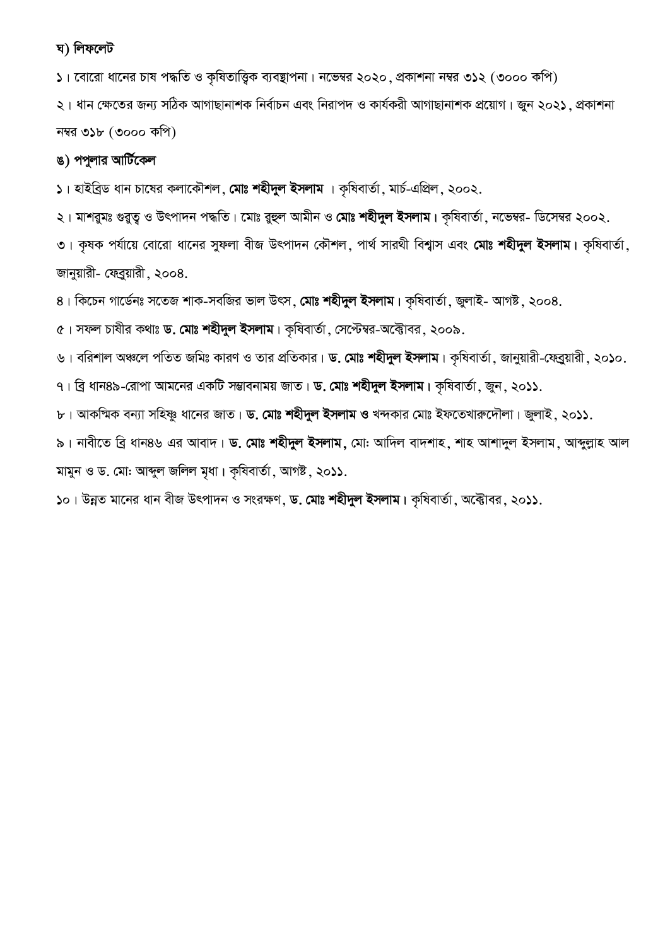#### **N) wjd‡jU**

১। বোরো ধানের চাষ পদ্ধতি ও কৃষিতাত্ত্বিক ব্যবস্থাপনা। নভেম্বর ২০২০, প্রকাশনা নম্বর ৩১২ (৩০০০ কপি)

২। ধান ক্ষেতের জন্য সঠিক আগাছানাশক নির্বাচন এবং নিরাপদ ও কার্যকরী আগাছানাশক প্রয়োগ। জুন ২০২১, প্রকাশনা নম্বর ৩১৮  $($ ৩০০০ কপি)

# ঙ) পপুলার আর্টিকেল

 $1$  হাইব্রিড ধান চাষের কলাকৌশল, মোঃ শহীদুল ইসলাম । কৃষিবার্তা, মার্চ-এপ্রিল, ২০০২.

২। মাশরুমঃ গুরুত্ব ও উৎপাদন পদ্ধতি। মোঃ রুহুল আমীন ও **মোঃ শহীদুল ইসলাম।** কৃষিবার্তা, নভেম্বর- ডিসেম্বর ২০০২.

৩। কৃষক পর্যায়ে বোরো ধানের সুফলা বীজ উৎপাদন কৌশল, পার্থ সারথী বিশ্বাস এবং **মোঃ শহীদুল ইসলাম।** কৃষিবার্তা, জানুয়ারী- ফেব্রুয়ারী, ২০০৪.

 $8$ । কিচেন গার্ডেনঃ সতেজ শাক-সবজির ভাল উৎস**, মোঃ শহীদুল ইসলাম।** কৃষিবার্তা, জুলাই- আগষ্ট, ২০০৪.

 $\alpha$ । সফল চাষীর কথাঃ **ড. মোঃ শহীদুল ইসলাম**। কৃষিবার্তা, সেপ্টেম্বর-অক্টোবর, ২০০৯.

৬। বরিশাল অঞ্চলে পতিত জমিঃ কারণ ও তার প্রতিকার। **ড. মোঃ শহীদুল ইসলাম**। কৃষিবার্তা, জানুয়ারী-ফেব্রুয়ারী, ২০**১**০.

 $9$ । ব্রি ধান৪৯-রোপা আমনের একটি সম্ভাবনাময় জাত। **ড. মোঃ শহীদুল ইসলাম।** কৃষিবার্তা, জুন, ২০১১.

 $\bf{b}$ । আকস্মিক বন্যা সহিষ্ণু ধানের জাত। **ড. মোঃ শহীদুল ইসলাম ও** খন্দকার মোঃ ইফতেখারুদৌলা। জুলাই, ২০**১১.** 

৯। নাবীতে ব্ৰি ধান৪৬ এর আবাদ। **ড. মোঃ শহীদুল ইসলাম, মো**: আদিল বাদশাহ, শাহ আশাদুল ইসলাম, আব্দুল্লাহ আল মামুন ও ড. মো: আব্দুল জলিল মৃধা। কৃষিবাৰ্তা, আগষ্ট, ২০**১১**.

 $5$ ০। উন্নত মানের ধান বীজ উৎপাদন ও সংরক্ষণ, ড. মোঃ শহীদুল ইসলাম। কৃষিবার্তা, অক্টোবর, ২০**১১**.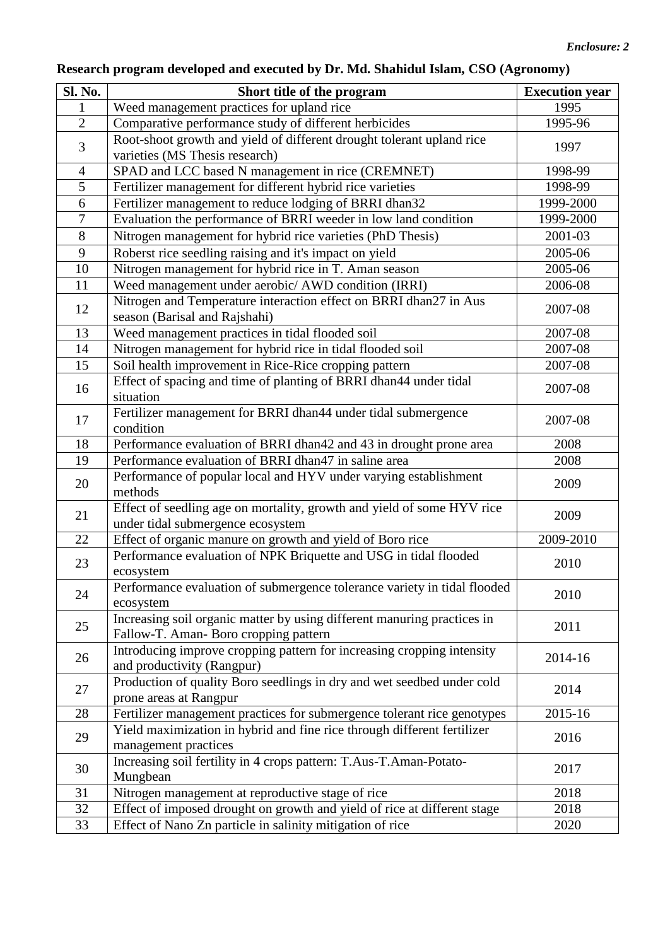# **Research program developed and executed by Dr. Md. Shahidul Islam, CSO (Agronomy)**

| <b>Sl. No.</b> | Short title of the program                                                                                      | <b>Execution</b> year |
|----------------|-----------------------------------------------------------------------------------------------------------------|-----------------------|
| 1              | Weed management practices for upland rice                                                                       | 1995                  |
| $\overline{2}$ | Comparative performance study of different herbicides                                                           | 1995-96               |
| 3              | Root-shoot growth and yield of different drought tolerant upland rice<br>varieties (MS Thesis research)         | 1997                  |
| $\overline{4}$ | SPAD and LCC based N management in rice (CREMNET)                                                               | 1998-99               |
| 5              | Fertilizer management for different hybrid rice varieties                                                       | 1998-99               |
| 6              | Fertilizer management to reduce lodging of BRRI dhan32                                                          | 1999-2000             |
| $\overline{7}$ | Evaluation the performance of BRRI weeder in low land condition                                                 | 1999-2000             |
| 8              | Nitrogen management for hybrid rice varieties (PhD Thesis)                                                      | 2001-03               |
| 9              | Roberst rice seedling raising and it's impact on yield                                                          | 2005-06               |
| $10\,$         | Nitrogen management for hybrid rice in T. Aman season                                                           | 2005-06               |
| 11             | Weed management under aerobic/ AWD condition (IRRI)                                                             | 2006-08               |
| 12             | Nitrogen and Temperature interaction effect on BRRI dhan27 in Aus<br>season (Barisal and Rajshahi)              | 2007-08               |
| 13             | Weed management practices in tidal flooded soil                                                                 | 2007-08               |
| 14             | Nitrogen management for hybrid rice in tidal flooded soil                                                       | 2007-08               |
| 15             | Soil health improvement in Rice-Rice cropping pattern                                                           | 2007-08               |
| 16             | Effect of spacing and time of planting of BRRI dhan44 under tidal<br>situation                                  | 2007-08               |
| 17             | Fertilizer management for BRRI dhan44 under tidal submergence<br>condition                                      | 2007-08               |
| 18             | Performance evaluation of BRRI dhan42 and 43 in drought prone area                                              | 2008                  |
| 19             | Performance evaluation of BRRI dhan47 in saline area                                                            | 2008                  |
| 20             | Performance of popular local and HYV under varying establishment<br>methods                                     | 2009                  |
| 21             | Effect of seedling age on mortality, growth and yield of some HYV rice<br>under tidal submergence ecosystem     | 2009                  |
| 22             | Effect of organic manure on growth and yield of Boro rice                                                       | 2009-2010             |
| 23             | Performance evaluation of NPK Briquette and USG in tidal flooded<br>ecosystem                                   | 2010                  |
| 24             | Performance evaluation of submergence tolerance variety in tidal flooded<br>ecosystem                           | 2010                  |
| 25             | Increasing soil organic matter by using different manuring practices in<br>Fallow-T. Aman-Boro cropping pattern | 2011                  |
| 26             | Introducing improve cropping pattern for increasing cropping intensity<br>and productivity (Rangpur)            | 2014-16               |
| 27             | Production of quality Boro seedlings in dry and wet seedbed under cold<br>prone areas at Rangpur                | 2014                  |
| 28             | Fertilizer management practices for submergence tolerant rice genotypes                                         | 2015-16               |
| 29             | Yield maximization in hybrid and fine rice through different fertilizer<br>management practices                 | 2016                  |
| 30             | Increasing soil fertility in 4 crops pattern: T.Aus-T.Aman-Potato-<br>Mungbean                                  | 2017                  |
| 31             | Nitrogen management at reproductive stage of rice                                                               | 2018                  |
| 32             | Effect of imposed drought on growth and yield of rice at different stage                                        | 2018                  |
| 33             | Effect of Nano Zn particle in salinity mitigation of rice                                                       | 2020                  |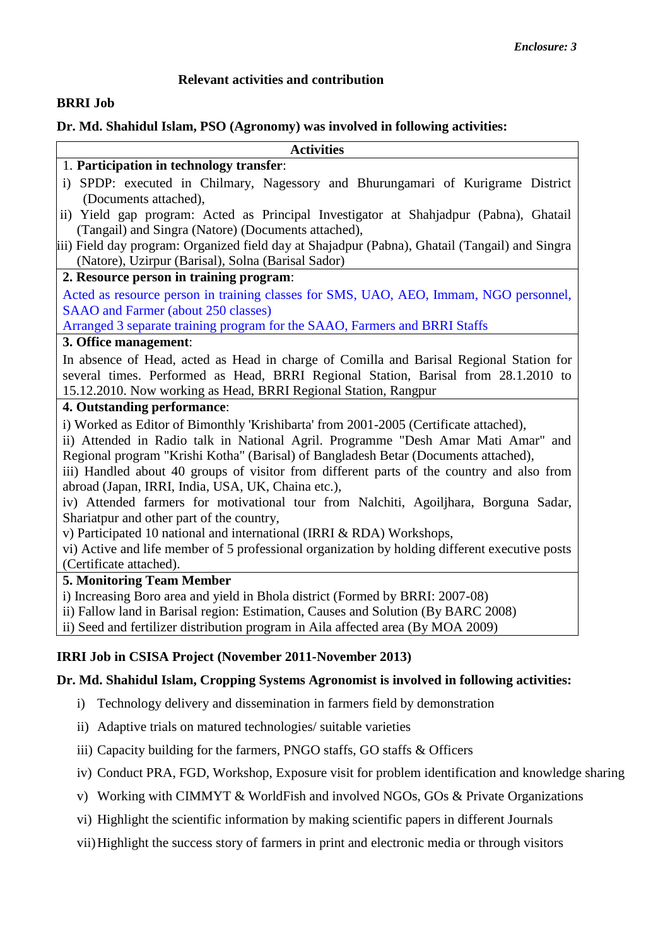#### **Relevant activities and contribution**

#### **BRRI Job**

#### **Dr. Md. Shahidul Islam, PSO (Agronomy) was involved in following activities:**

| <b>Activities</b>                                                                                                                                                     |
|-----------------------------------------------------------------------------------------------------------------------------------------------------------------------|
| 1. Participation in technology transfer:                                                                                                                              |
| i) SPDP: executed in Chilmary, Nagessory and Bhurungamari of Kurigrame District<br>(Documents attached),                                                              |
| ii) Yield gap program: Acted as Principal Investigator at Shahjadpur (Pabna), Ghatail                                                                                 |
| (Tangail) and Singra (Natore) (Documents attached),                                                                                                                   |
| iii) Field day program: Organized field day at Shajadpur (Pabna), Ghatail (Tangail) and Singra<br>(Natore), Uzirpur (Barisal), Solna (Barisal Sador)                  |
| 2. Resource person in training program:                                                                                                                               |
| Acted as resource person in training classes for SMS, UAO, AEO, Immam, NGO personnel,                                                                                 |
| SAAO and Farmer (about 250 classes)                                                                                                                                   |
| Arranged 3 separate training program for the SAAO, Farmers and BRRI Staffs                                                                                            |
| 3. Office management:                                                                                                                                                 |
| In absence of Head, acted as Head in charge of Comilla and Barisal Regional Station for                                                                               |
| several times. Performed as Head, BRRI Regional Station, Barisal from 28.1.2010 to                                                                                    |
| 15.12.2010. Now working as Head, BRRI Regional Station, Rangpur                                                                                                       |
| 4. Outstanding performance:                                                                                                                                           |
| i) Worked as Editor of Bimonthly 'Krishibarta' from 2001-2005 (Certificate attached),                                                                                 |
| ii) Attended in Radio talk in National Agril. Programme "Desh Amar Mati Amar" and                                                                                     |
| Regional program "Krishi Kotha" (Barisal) of Bangladesh Betar (Documents attached),                                                                                   |
| iii) Handled about 40 groups of visitor from different parts of the country and also from                                                                             |
| abroad (Japan, IRRI, India, USA, UK, Chaina etc.),                                                                                                                    |
| iv) Attended farmers for motivational tour from Nalchiti, Agoiljhara, Borguna Sadar,                                                                                  |
| Shariatpur and other part of the country,                                                                                                                             |
| v) Participated 10 national and international (IRRI & RDA) Workshops,                                                                                                 |
| vi) Active and life member of 5 professional organization by holding different executive posts                                                                        |
| (Certificate attached).                                                                                                                                               |
| <b>5. Monitoring Team Member</b>                                                                                                                                      |
| i) Increasing Boro area and yield in Bhola district (Formed by BRRI: 2007-08)                                                                                         |
| ii) Fallow land in Barisal region: Estimation, Causes and Solution (By BARC 2008)<br>ii) Seed and fertilizer distribution program in Aila affected area (By MOA 2009) |
|                                                                                                                                                                       |

- i) Technology delivery and dissemination in farmers field by demonstration
- ii) Adaptive trials on matured technologies/ suitable varieties
- iii) Capacity building for the farmers, PNGO staffs, GO staffs & Officers
- iv) Conduct PRA, FGD, Workshop, Exposure visit for problem identification and knowledge sharing
- v) Working with CIMMYT & WorldFish and involved NGOs, GOs & Private Organizations
- vi) Highlight the scientific information by making scientific papers in different Journals
- vii)Highlight the success story of farmers in print and electronic media or through visitors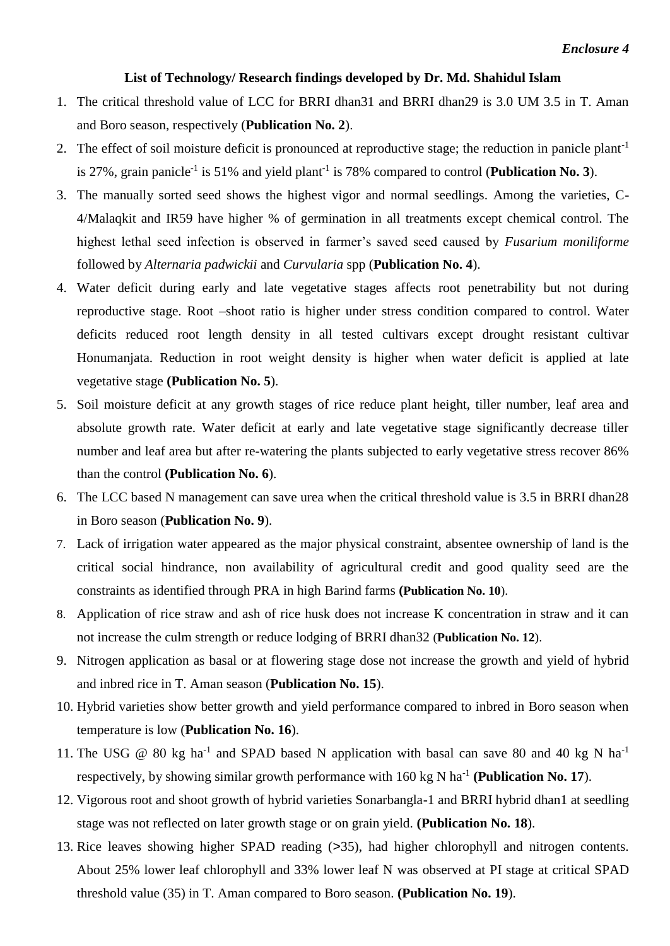#### **List of Technology/ Research findings developed by Dr. Md. Shahidul Islam**

- 1. The critical threshold value of LCC for BRRI dhan31 and BRRI dhan29 is 3.0 UM 3.5 in T. Aman and Boro season, respectively (**Publication No. 2**).
- 2. The effect of soil moisture deficit is pronounced at reproductive stage; the reduction in panicle plant<sup>-1</sup> is 27%, grain panicle<sup>-1</sup> is 51% and yield plant<sup>-1</sup> is 78% compared to control (**Publication No. 3**).
- 3. The manually sorted seed shows the highest vigor and normal seedlings. Among the varieties, C-4/Malaqkit and IR59 have higher % of germination in all treatments except chemical control. The highest lethal seed infection is observed in farmer's saved seed caused by *Fusarium moniliforme* followed by *Alternaria padwickii* and *Curvularia* spp (**Publication No. 4**).
- 4. Water deficit during early and late vegetative stages affects root penetrability but not during reproductive stage. Root –shoot ratio is higher under stress condition compared to control. Water deficits reduced root length density in all tested cultivars except drought resistant cultivar Honumanjata. Reduction in root weight density is higher when water deficit is applied at late vegetative stage **(Publication No. 5**).
- 5. Soil moisture deficit at any growth stages of rice reduce plant height, tiller number, leaf area and absolute growth rate. Water deficit at early and late vegetative stage significantly decrease tiller number and leaf area but after re-watering the plants subjected to early vegetative stress recover 86% than the control **(Publication No. 6**).
- 6. The LCC based N management can save urea when the critical threshold value is 3.5 in BRRI dhan28 in Boro season (**Publication No. 9**).
- 7. Lack of irrigation water appeared as the major physical constraint, absentee ownership of land is the critical social hindrance, non availability of agricultural credit and good quality seed are the constraints as identified through PRA in high Barind farms **(Publication No. 10**).
- 8. Application of rice straw and ash of rice husk does not increase K concentration in straw and it can not increase the culm strength or reduce lodging of BRRI dhan32 (**Publication No. 12**).
- 9. Nitrogen application as basal or at flowering stage dose not increase the growth and yield of hybrid and inbred rice in T. Aman season (**Publication No. 15**).
- 10. Hybrid varieties show better growth and yield performance compared to inbred in Boro season when temperature is low (**Publication No. 16**).
- 11. The USG @ 80 kg ha<sup>-1</sup> and SPAD based N application with basal can save 80 and 40 kg N ha<sup>-1</sup> respectively, by showing similar growth performance with 160 kg N ha<sup>-1</sup> (Publication No. 17).
- 12. Vigorous root and shoot growth of hybrid varieties Sonarbangla-1 and BRRI hybrid dhan1 at seedling stage was not reflected on later growth stage or on grain yield. **(Publication No. 18**).
- 13. Rice leaves showing higher SPAD reading (>35), had higher chlorophyll and nitrogen contents. About 25% lower leaf chlorophyll and 33% lower leaf N was observed at PI stage at critical SPAD threshold value (35) in T. Aman compared to Boro season. **(Publication No. 19**).